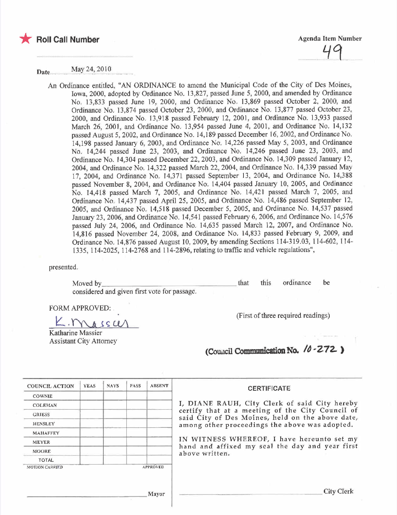

Date.... ...~ay2~~2~ 1.0.

An Ordinance entitled, "AN ORDINANCE to amend the Municipal Code of the City of Des Moines, Iowa, 2000, adopted by Ordinance No. 13,827, passed June 5, 2000, and amended by Ordinance No. 13,833 passed June 19, 2000, and Ordinance No. 13,869 passed October 2, 2000, and Ordinance No. 13,874 passed October 23, 2000, and Ordinance No. 13,877 passed October 23, 2000, and Ordinance No. 13,918 passed February 12, 2001, and Ordinance No. 13,933 passed March 26, 2001, and Ordinance No. 13,954 passed June 4, 2001, and Ordinance No. 14,132 passed August 5, 2002, and Ordinance No. 14,189 passed December 16,2002, and Ordinance No. 14,198 passed January 6, 2003, and Ordinance No. 14,226 passed May 5, 2003, and Ordinance No. 14,244 passed June 23, 2003, and Ordinance No. 14,246 passed June 23, 2003, and Ordinance No. 14,304 passed December 22, 2003, and Ordinance No. 14,309 passed January 12, 2004, and Ordinance No. 14,322 passed March 22, 2004, and Ordinance No. 14,339 passed May 17, 2004, and Ordinance No. 14,371 passed September 13, 2004, and Ordinance No. 14,388 passed November 8, 2004, and Ordinance No. 14,404 passed January 10, 2005, and Ordinance No. 14,418 passed March 7, 2005, and Ordinance No. 14,421 passed March 7, 2005, and Ordinance No. 14,437 passed April 25, 2005, and Ordinance No. 14,486 passed September 12, 2005, and Ordinance No. 14,518 passed December 5, 2005, and Ordinance No. 14,537 passed January 23, 2006, and Ordinance No. 14,541 passed February 6, 2006, and Ordinance No. 14,576 passed July 24, 2006, and Ordinance No. 14,635 passed March 12, 2007, and Ordinance No. 14,816 passed November 24, 2008, and Ordinance No. 14,833 passed February 9, 2009, and Ordinance No. 14,876 passed August 10,2009, by amending Sections 114-319.03, 114-602, 114- 1335,114-2025, 114-2768 and 114-2896, relating to traffc and vehicle regulations",

presented.

| Moved by                                     | that | this ordinance be |  |
|----------------------------------------------|------|-------------------|--|
| considered and given first vote for passage. |      |                   |  |

FORM APPROVED:

 $h$  SSW

Katharine Massier Assistant City Attorney (First of three required readings)

(Council Communication No.  $/0.272$ )

| <b>COUNCIL ACTION</b> | <b>YEAS</b> | <b>NAYS</b> | PASS | <b>ABSENT</b>   | <b>CERTIFICATE</b>                                                                                                                                                                                      |
|-----------------------|-------------|-------------|------|-----------------|---------------------------------------------------------------------------------------------------------------------------------------------------------------------------------------------------------|
| <b>COWNIE</b>         |             |             |      |                 |                                                                                                                                                                                                         |
| <b>COLEMAN</b>        |             |             |      |                 | I, DIANE RAUH, City Clerk of said City hereby<br>certify that at a meeting of the City Council of<br>said City of Des Moines, held on the above date,<br>among other proceedings the above was adopted. |
| <b>GRIESS</b>         |             |             |      |                 |                                                                                                                                                                                                         |
| <b>HENSLEY</b>        |             |             |      |                 |                                                                                                                                                                                                         |
| <b>MAHAFFEY</b>       |             |             |      |                 |                                                                                                                                                                                                         |
| <b>MEYER</b>          |             |             |      |                 | IN WITNESS WHEREOF, I have hereunto set my<br>hand and affixed my seal the day and year first                                                                                                           |
| <b>MOORE</b>          |             |             |      |                 | above written.                                                                                                                                                                                          |
| <b>TOTAL</b>          |             |             |      |                 |                                                                                                                                                                                                         |
| <b>MOTION CARRIED</b> |             |             |      | <b>APPROVED</b> |                                                                                                                                                                                                         |
|                       |             |             |      | Mayor           | City Clerk                                                                                                                                                                                              |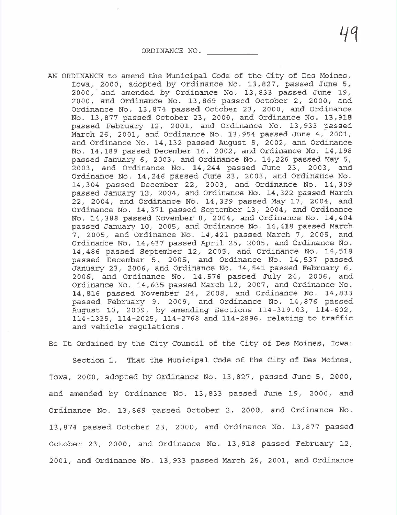ORDINANCE NO.

AN ORDINANCE to amend the Municipal Code of the City of Des Moines, Iowa, 2000, adopted by Ordinance No. 13,827, passed June 5, 2000, and amended by Ordinance No. 13,833 passed June 19, 2000, and Ordinance No. 13,869 passed October 2, 2000, and Ordinance No. 13,874 passed October 23, 2000, and Ordinance No. 13,877 passed October 23, 2000, and Ordinance No. 13,918 passed February 12, 2001, and Ordinance No. 13,933 passed March 26, 2001, and Ordinance No. 13,954 passed June 4, 2001, and Ordinance No. 14,132 passed August 5, 2002, and Ordinance No. 14,189 passed December 16, 2002, and Ordinance No. 14,198 passed January 6, 2003, and Ordinance No. 14,226 passed May 5, 2003, and Ordinance No. 14,244 passed June 23, 2003, and Ordinance No. 14,246 passed June 23, 2003, and Ordinance No. 14,304 passed December 22, 2003, and Ordinance No. 14,309 passed January 12, 2004, and Ordinance No. 14,322 passed March 22, 2004, and Ordinance No. 14,339 passed May 17, 2004, and Ordinance No. 14,371 passed September 13, 2004, and Ordinance No. 14,388 passed November 8, 2004, and Ordinance No. 14,404 passed January 10, 2005, and Ordinance No. 14,418 passed March 7, 2005, and Ordinance No. 14,421 passed March 7, 2005, and Ordinance No. 14,437 passed April 25, 2005, and Ordinance No. 14,486 passed September 12, 2005, and Ordinance No. 14,518 passed December 5, 2005, and Ordinance No. 14,537 passed January 23, 2006, and Ordinance No. 14,541 passed February 6, 2006, and Ordinance No. 14,576 passed July 24, 2006, and Ordinance No. 14,635 passed March 12, 2007, and Ordinance No. 14,816 passed November 24, 2008, and Ordinance No. 14,833 passed February 9, 2009, and Ordinance No. 14,876 passed August 10, 2009, by amending Sections 114-319.03, 114-602, 114-1335, 114-2025, 114-2768 and 114-2896, relating to traffic and vehicle regulations.

Be It Ordained by the City Council of the City of Des Moines, Iowa:

Section 1. That the Municipal Code of the City of Des Moines, Iowa, 2000, adopted by Ordinance No. 13,827, passed June 5, 2000, and amended by Ordinance No. 13,833 passed June 19, 2000, and Ordinance No. 13,869 passed October 2, 2000, and Ordinance No. 13,874 passed October 23, 2000, and Ordinance No. 13,877 passed October 23, 2000, and Ordinance No. 13,918 passed February 12, 2001, and Ordinance No. 13,933 passed March 26, 2001, and Ordinance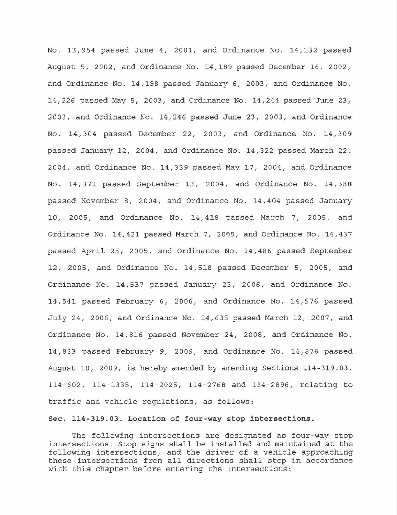No. 13,954 passed June 4, 2001, and Ordinance No. 14,132 passed August 5, 2002, and Ordinance No. 14,189 passed December 16, 2002, and Ordinance No. 14,198 passed January 6, 2003, and Ordinance No. 14,226 passed May 5, 2003, and Ordinance No. 14,244 passed June 23, 2003, and Ordinance No. 14,246 passed June 23, 2003, and Ordinance No. 14,304 passed December 22, 2003, and Ordinance No. 14,309 passed January 12, 2004, and Ordinance No. 14,322 passed March 22, 2004, and Ordinance No. 14,339 passed May 17,2004, and Ordinance No. 14,371 passed September 13,2004, and Ordinance No. 14,388 passed November 8, 2004, and Ordinance No. 14,404 passed January 10, 2005, and Ordinance No. 14,418 passed March 7, 2005, and Ordinance No. 14,421 passed March 7, 2005, and Ordinance No. 14,437 passed April 25, 2005, and Ordinance No. 14,486 passed September 12, 2005, and Ordinance No. 14,518 passed December 5, 2005, and Ordinance No. 14,537 passed January 23, 2006, and Ordinance No. 14,541 passed February 6, 2006, and Ordinance No. 14,576 passed July 24, 2006, and Ordinance No. 14,635 passed March 12, 2007, and Ordinance No. 14,816 passed November 24, 2008, and Ordinance No. 14,833 passed February 9,2009, and Ordinance No. 14,876 passed August 10, 2009, is hereby amended by amending Sections 114-319.03, 114-602, 114-1335, 114-2025, 114-2768 and 114-2896, relating to traffic and vehicle regulations, as follows:

### Sec. 114-319.03. Location of four-way stop intersections.

The following intersections are designated as four-way stop intersections. Stop signs shall be installed and maintained at the following intersections, and the driver of a vehicle approaching these intersections from all directions shall stop in accordance with this chapter before entering the intersections: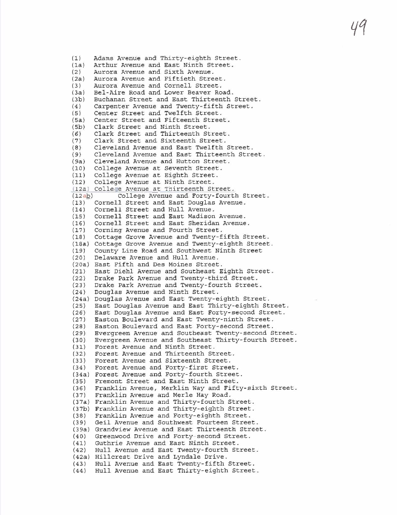# 49

(1) Adams Avenue and Thirty-eighth Street.<br>(1a) Arthur Avenue and East Ninth Street. (1a) Arthur Avenue and East Ninth Street.<br>(2) Aurora Avenue and Sixth Avenue. (2) Aurora Avenue and Sixth Avenue. (2a) Aurora Avenue and Fiftieth Street.<br>(3) Aurora Avenue and Cornell Street. (3) Aurora Avenue and Cornell Street. (3a) Bel-Aire Road and Lower Beaver Road.<br>(3b) Buchanan Street and East Thirteenth (3b) Buchanan Street and East Thirteenth Street.<br>(4) Carpenter Avenue and Twenty-fifth Street. (4) Carpenter Avenue and Twenty-fifth Street.<br>(5) Center Street and Twelfth Street. (5) Center Street and Twelfth Street. (5a) Center Street and Fifteenth Street.<br>(5b) Clark Street and Ninth Street. (5b) Clark Street and Ninth Street. (6) Clark Street and Thirteenth Street. (7) Clark Street and Sixteenth Street.<br>(8) Cleveland Avenue and East Twelfth (B) Cleveland Avenue and East Twelfth Street. (9) Cleveland Avenue and East Thirteenth Street.<br>(9a) Cleveland Avenue and Hutton Street. (9a) Cleveland Avenue and Hutton Street.<br>(10) College Avenue at Seventh Street. (10) College Avenue at Seventh Street. (11) College Avenue at Eighth Street. (12) College Avenue at Ninth Street.  $(12a)$  College Avenue at Thirteenth Street.<br> $(12ab)$  College Avenue and Forty-fourt  $(12a)$  College Avenue and Forty-fourth Street.<br>(13) Cornell Street and East Douglas Avenue. (13) Cornell Street and East Douglas Avenue. (14) Cornell Street and Hull Avenue. (15) Cornell Street and East Madison Avenue. (16) Cornell Street and East Sheridan Avenue. (17) Corning Avenue and Fourth Street. Cottage Grove Avenue and Twenty-fifth Street. (lBa) Cottage Grove Avenue and Twenty-eighth Street. County Line Road and Southwest Ninth Street (20) Delaware Avenue and Hull Avenue. (20a) East Fifth and Des Moines Street. (21) East Diehl Avenue and Southeast Eighth Street.<br>(22) Drake Park Avenue and Twenty-third Street. (22) Drake Park Avenue and Twenty-third Street. (23) Drake Park Avenue and Twenty-fourth Street. Douglas Avenue and Ninth Street. (24a) Douglas Avenue and East Twenty-eighth Street.<br>(25) East Douglas Avenue and East Thirty-eighth St (25) East Douglas Avenue and East Thirty-eighth Street. (26) East Douglas Avenue and East Forty-second Street.<br>(27) Easton Boulevard and East Twenty-ninth Street. (27) Easton Boulevard and East Twenty-ninth Street. (28) Easton Boulevard and East Forty-second Street. (29) Evergreen Avenue and Southeast Twenty- second Street. (30) Evergreen Avenue and Southeast Thirty- fourth Street. Forest Avenue and Ninth Street. (32) Forest Avenue and Thirteenth Street.<br>(33) Forest Avenue and Sixteenth Street. (33) Forest Avenue and Sixteenth Street. Forest Avenue and Forty-first Street. (34a) Forest Avenue and Forty-fourth Street.<br>(35) Premont Street and East Ninth Street. (35) Fremont Street and East Ninth Street.<br>(36) Franklin Avenue, Merklin Way and Fift (36) Franklin Avenue, Merklin Way and Fifty-sixth Street.<br>(37) Franklin Avenue and Merle Hay Road. Franklin Avenue and Merle Hay Road. (37a) Franklin Avenue and Thirty-fourth Street. (37b) Franklin Avenue and Thirty-eighth Street. (3B) Franklin Avenue and Forty-eighth Street. Geil Avenue and Southwest Fourteen Street. (39a) Grandview Avenue and East Thirteenth Street.<br>(40) Greenwood Drive and Forty-second Street. (40) Greenwood Drive and Forty- second Street. (41) Guthrie Avenue and East Ninth Street. Hull Avenue and East Twenty-fourth Street. (42a) Hillcrest Drive and Lyndale Drive. (43) Hull Avenue and East Twenty-fifth Street. Hull Avenue and East Thirty-eighth Street.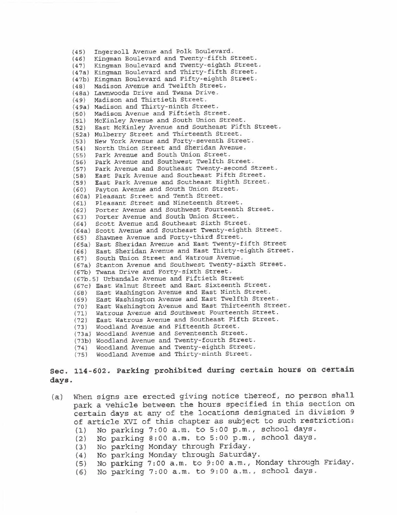(45) Ingersoll Avenue and Polk Boulevard. (46) Kingman Boulevard and Twenty-fifth Street. Kingman Boulevard and Twenty-eighth Street. (47a) Kingman Boulevard and Thirty-fifth Street. (47b) Kingman Boulevard and Fifty-eighth Street. (48) Madison Avenue and Twelfth Street. (48a) Lawnwoods Drive and Twana Drive. (49) Madison and Thirtieth Street. (49a) Madison and Thirty-ninth Street. (50) Madison Avenue and Fiftieth Street. (51) McKinley Avenue and South Union Street.<br>(52) East McKinley Avenue and Southeast Fift East McKinley Avenue and Southeast Fifth Street. (52a) Mulberry Street and Thirteenth Street. (53) New York Avenue and Forty-seventh Street.<br>(54) North Union Street and Sheridan Avenue. North Union Street and Sheridan Avenue. (55) Park Avenue and South Union Street. (56) Park Avenue and Southwest Twelfth Street. (57) Park Avenue and Southeast Twenty-second Street. (58) East Park Avenue and Southeast Fifth Street. (59) East Park Avenue and Southeast Eighth Street. (60) Payton Avenue and South Union Street. (60a) Pleasant Street and Tenth Street. (61) Pleasant Street and Nineteenth Street. (62) Porter Avenue and Southwest Fourteenth Street. (63) Porter Avenue and South Union Street. (64) Scott Avenue and Southeast Sixth Street. (64a) Scott Avenue and Southeast Twenty-eighth Street. (65) Shawnee Avenue and Forty-third Street. (65a) East Sheridan Avenue and East Twenty-fifth Street (66) East Sheridan Avenue and East Thirty-eighth Street.<br>(67) South Union Street and Watrous Avenue. South Union Street and Watrous Avenue. (67a) Stanton Avenue and Southwest Twenty- sixth Street. (67b) Twana Drive and Forty-sixth Street. (67b. 5) Urbandale Avenue and Fiftieth Street (67c) East Walnut Street and East Sixteenth Street. (68) East Washington Avenue and East Ninth Street. (69) East Washington Avenue and East Twelfth Street. (70) East Washington Avenue and East Thirteenth Street. (71) Watrous Avenue and Southwest Fourteenth Street. (72) East Watrous Avenue and Southeast Fifth Street. (73) Woodland Avenue and Fifteenth Street. (73a) Woodland Avenue and Seventeenth Street. (73b) Woodland Avenue and Twenty-fourth Street. (74) Woodland Avenue and Twenty-eighth Street. (75) Woodland Avenue and Thirty-ninth Street.

# Sec. 114-602. Parking prohibited during certain hours on certain days.

- (a) When signs are erected giving notice thereof, no person shall park a vehicle between the hours specified in this section on certain days at any of the locations designated in division 9 of article XVI of this chapter as subject to such restriction:
	- (1) No parking 7:00 a.m. to 5:00 p.m., school days.
	- (2) No parking 8:00 a.m. to 5:00 p.m., school days.
	- No parking Monday through Friday.
	- (4) No parking Monday through Saturday.
	- No parking 7:00 a.m. to 9:00 a.m., Monday through Friday.
	- (6) No parking 7:00 a.m. to 9:00 a.m., school days.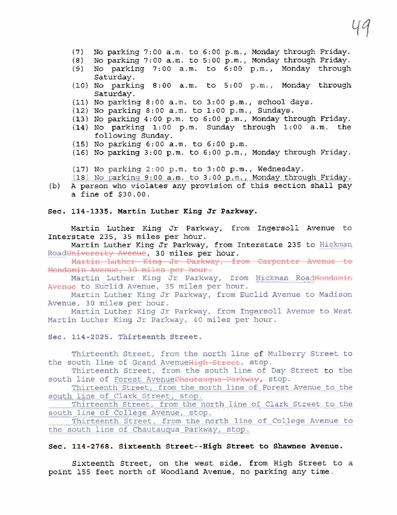- (7) No parking 7:00 a.m. to 6:00 p.m., Monday through Friday.
- (8) No parking 7:00 a.m. to 5:00 p.m., Monday through Friday.
- No parking 7:00 a.m. to 6:00 p.m., Monday through Saturday.
- (10) No parking 8:00 a.m. to 5:00 p.m., Monday through Saturday.
- (11) No parking 8:00 a.m. to 3:00 p.m., school days.
- (12) No parking 8:00 a.m. to 1:00 p.m., Sundays.
- (13) No parking 4: 00 p. m. to 6: 00 p. m., Monday through Friday.
- (14) No parking 1:00 p.m. Sunday through 1:00 a.m. the following Sunday.
- (15) No parking 6:00 a.m. to 6:00 p.m.
- (16) No parking 3:00 p.m. to 6:00 p.m., Monday through Friday.

(17) No parking 2:00 p.m. to 3:00 p.m., Wednesday.

- (18) No parkinq 9:00 a.m. to 3:00 p.m.. Monday throuqh Friday. (b) A person who violates any provision of this section shall pay
- a fine of \$30.00.

## Sec. 114-1335. Martin Luther King Jr Parkway.

Martin Luther King Jr Parkway, from Ingersoll Avenue to Interstate 235, 35 miles per hour.

Martin Luther King Jr Parkway, from Interstate 235 to Hickman Road<del>University Avenue</del>, 30 miles per hour.<br>11;:irtin Luther King Jr Parkway, from Carpenter Avenue to

Mondamin Avenue, 30 miles per hour.

Martin Luther King Jr Parkway, from Hickman RoadMondamin Avenue to Euclid Avenue, 35 miles per hour.

Martin Luther King Jr Parkway, from Euclid Avenue to Madison Avenue, 30 miles per hour.

Martin Luther King Jr Parkway, from Ingersoll Avenue to West Martin Luther King Jr Parkway, 40 miles per hour.

### Sec. 114-2025. Thirteenth Street.

Thirteenth Street, from the north line of Mulberry Street to the south line of Grand AvenueHigh Street, stop.

Thirteenth Street, from the south line of Day Street to the south line of Forest AvenueChautauqua Parkway, stop.

Thirteenth Street, from the north line of Forest Avenue to the south line of Clark Street, stop.

Thirteenth Street, from the north line of Clark Street to the south line of College Avenue, stop.

Thirteenth Street, from the north line of College Avenue to the south line of Chautauqua Parkway, stop.

#### Sec. 114-2768. Sixteenth Street--High Street to Shawnee Avenue.

Sixteenth Street, on the west side, from High Street to a point 155 feet north of Woodland Avenue, no parking any time.